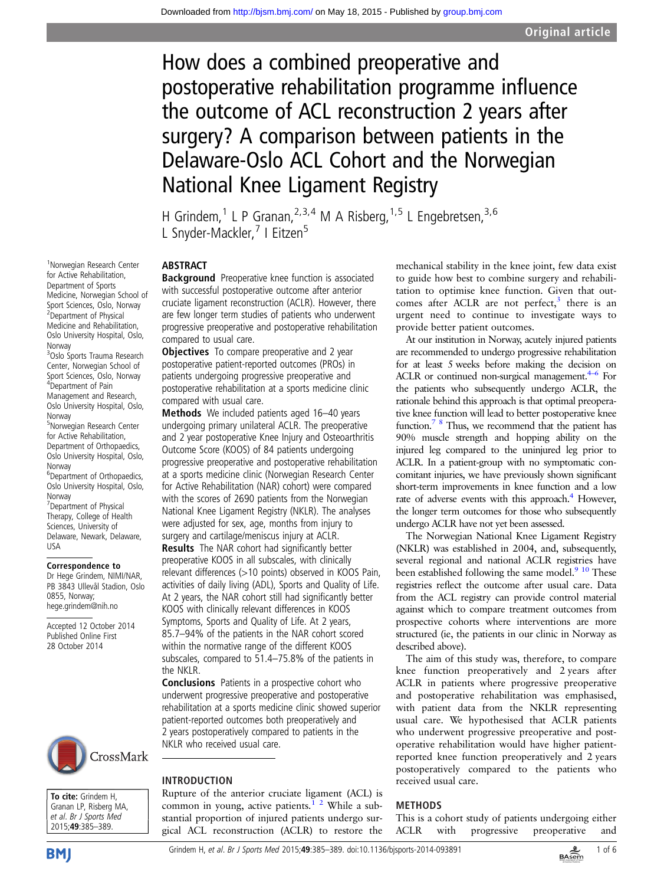# How does a combined preoperative and postoperative rehabilitation programme influence the outcome of ACL reconstruction 2 years after surgery? A comparison between patients in the Delaware-Oslo ACL Cohort and the Norwegian National Knee Ligament Registry

H Grindem,<sup>1</sup> L P Granan,<sup>2,3,4</sup> M A Risberg,<sup>1,5</sup> L Engebretsen,<sup>3,6</sup> L Snyder-Mackler,<sup>7</sup> I Eitzen<sup>5</sup>

#### ABSTRACT

**Background** Preoperative knee function is associated with successful postoperative outcome after anterior cruciate ligament reconstruction (ACLR). However, there are few longer term studies of patients who underwent progressive preoperative and postoperative rehabilitation compared to usual care.

**Objectives** To compare preoperative and 2 year postoperative patient-reported outcomes (PROs) in patients undergoing progressive preoperative and postoperative rehabilitation at a sports medicine clinic compared with usual care.

Methods We included patients aged 16–40 years undergoing primary unilateral ACLR. The preoperative and 2 year postoperative Knee Injury and Osteoarthritis Outcome Score (KOOS) of 84 patients undergoing progressive preoperative and postoperative rehabilitation at a sports medicine clinic (Norwegian Research Center for Active Rehabilitation (NAR) cohort) were compared with the scores of 2690 patients from the Norwegian National Knee Ligament Registry (NKLR). The analyses were adjusted for sex, age, months from injury to surgery and cartilage/meniscus injury at ACLR.

**Results** The NAR cohort had significantly better preoperative KOOS in all subscales, with clinically relevant differences (>10 points) observed in KOOS Pain, activities of daily living (ADL), Sports and Quality of Life. At 2 years, the NAR cohort still had significantly better KOOS with clinically relevant differences in KOOS Symptoms, Sports and Quality of Life. At 2 years, 85.7–94% of the patients in the NAR cohort scored within the normative range of the different KOOS subscales, compared to 51.4–75.8% of the patients in the NKLR.

Conclusions Patients in a prospective cohort who underwent progressive preoperative and postoperative rehabilitation at a sports medicine clinic showed superior patient-reported outcomes both preoperatively and 2 years postoperatively compared to patients in the NKLR who received usual care.

#### INTRODUCTION

Rupture of the anterior cruciate ligament (ACL) is common in young, active patients.<sup>1</sup> <sup>2</sup> While a substantial proportion of injured patients undergo surgical ACL reconstruction (ACLR) to restore the mechanical stability in the knee joint, few data exist to guide how best to combine surgery and rehabilitation to optimise knee function. Given that outcomes after ACLR are not perfect, $3$  there is an urgent need to continue to investigate ways to provide better patient outcomes.

At our institution in Norway, acutely injured patients are recommended to undergo progressive rehabilitation for at least 5 weeks before making the decision on ACLR or continued non-surgical management.<sup>4–6</sup> For the patients who subsequently undergo ACLR, the rationale behind this approach is that optimal preoperative knee function will lead to better postoperative knee function.<sup>7</sup> <sup>8</sup> Thus, we recommend that the patient has 90% muscle strength and hopping ability on the injured leg compared to the uninjured leg prior to ACLR. In a patient-group with no symptomatic concomitant injuries, we have previously shown significant short-term improvements in knee function and a low rate of adverse events with this approach.<sup>4</sup> However, the longer term outcomes for those who subsequently undergo ACLR have not yet been assessed.

The Norwegian National Knee Ligament Registry (NKLR) was established in 2004, and, subsequently, several regional and national ACLR registries have been established following the same model.<sup>9</sup> <sup>10</sup> These registries reflect the outcome after usual care. Data from the ACL registry can provide control material against which to compare treatment outcomes from prospective cohorts where interventions are more structured (ie, the patients in our clinic in Norway as described above).

The aim of this study was, therefore, to compare knee function preoperatively and 2 years after ACLR in patients where progressive preoperative and postoperative rehabilitation was emphasised, with patient data from the NKLR representing usual care. We hypothesised that ACLR patients who underwent progressive preoperative and postoperative rehabilitation would have higher patientreported knee function preoperatively and 2 years postoperatively compared to the patients who received usual care.

#### METHODS

This is a cohort study of patients undergoing either ACLR with progressive preoperative and

1 Norwegian Research Center for Active Rehabilitation. Department of Sports Medicine, Norwegian School of Sport Sciences, Oslo, Norway 2 Department of Physical Medicine and Rehabilitation, Oslo University Hospital, Oslo, Norway 3 Oslo Sports Trauma Research

Center, Norwegian School of Sport Sciences, Oslo, Norway 4 Department of Pain Management and Research, Oslo University Hospital, Oslo,

Norway 5 Norwegian Research Center for Active Rehabilitation, Department of Orthopaedics, Oslo University Hospital, Oslo, Norway

6 Department of Orthopaedics, Oslo University Hospital, Oslo, Norway 7 Department of Physical Therapy, College of Health

Sciences, University of Delaware, Newark, Delaware, USA

#### Correspondence to

Dr Hege Grindem, NIMI/NAR, PB 3843 Ullevål Stadion, Oslo 0855, Norway; hege.grindem@nih.no

Accepted 12 October 2014 Published Online First 28 October 2014



To cite: Grindem H, Granan LP, Risberg MA, et al. Br J Sports Med 2015;49:385–389.

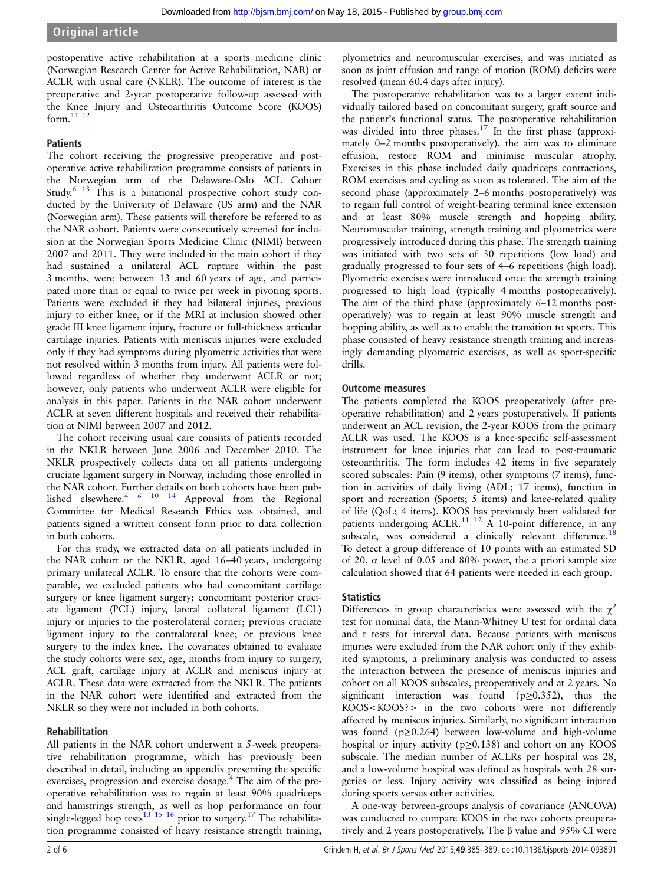# Original article

postoperative active rehabilitation at a sports medicine clinic (Norwegian Research Center for Active Rehabilitation, NAR) or ACLR with usual care (NKLR). The outcome of interest is the preoperative and 2-year postoperative follow-up assessed with the Knee Injury and Osteoarthritis Outcome Score (KOOS) form.[11 12](#page-4-0)

## **Patients**

The cohort receiving the progressive preoperative and postoperative active rehabilitation programme consists of patients in the Norwegian arm of the Delaware-Oslo ACL Cohort Study.<sup>[6](#page-4-0)</sup> <sup>13</sup> This is a binational prospective cohort study conducted by the University of Delaware (US arm) and the NAR (Norwegian arm). These patients will therefore be referred to as the NAR cohort. Patients were consecutively screened for inclusion at the Norwegian Sports Medicine Clinic (NIMI) between 2007 and 2011. They were included in the main cohort if they had sustained a unilateral ACL rupture within the past 3 months, were between 13 and 60 years of age, and participated more than or equal to twice per week in pivoting sports. Patients were excluded if they had bilateral injuries, previous injury to either knee, or if the MRI at inclusion showed other grade III knee ligament injury, fracture or full-thickness articular cartilage injuries. Patients with meniscus injuries were excluded only if they had symptoms during plyometric activities that were not resolved within 3 months from injury. All patients were followed regardless of whether they underwent ACLR or not; however, only patients who underwent ACLR were eligible for analysis in this paper. Patients in the NAR cohort underwent ACLR at seven different hospitals and received their rehabilitation at NIMI between 2007 and 2012.

The cohort receiving usual care consists of patients recorded in the NKLR between June 2006 and December 2010. The NKLR prospectively collects data on all patients undergoing cruciate ligament surgery in Norway, including those enrolled in the NAR cohort. Further details on both cohorts have been pub-lished elsewhere.<sup>[4 6 10](#page-4-0)</sup> <sup>14</sup> Approval from the Regional Committee for Medical Research Ethics was obtained, and patients signed a written consent form prior to data collection in both cohorts.

For this study, we extracted data on all patients included in the NAR cohort or the NKLR, aged 16–40 years, undergoing primary unilateral ACLR. To ensure that the cohorts were comparable, we excluded patients who had concomitant cartilage surgery or knee ligament surgery; concomitant posterior cruciate ligament (PCL) injury, lateral collateral ligament (LCL) injury or injuries to the posterolateral corner; previous cruciate ligament injury to the contralateral knee; or previous knee surgery to the index knee. The covariates obtained to evaluate the study cohorts were sex, age, months from injury to surgery, ACL graft, cartilage injury at ACLR and meniscus injury at ACLR. These data were extracted from the NKLR. The patients in the NAR cohort were identified and extracted from the NKLR so they were not included in both cohorts.

## Rehabilitation

All patients in the NAR cohort underwent a 5-week preoperative rehabilitation programme, which has previously been described in detail, including an appendix presenting the specific exercises, progression and exercise dosage.<sup>[4](#page-4-0)</sup> The aim of the preoperative rehabilitation was to regain at least 90% quadriceps and hamstrings strength, as well as hop performance on four single-legged hop tests<sup>13 15</sup> 1<sup>6</sup> prior to surgery.<sup>[17](#page-5-0)</sup> The rehabilitation programme consisted of heavy resistance strength training,

plyometrics and neuromuscular exercises, and was initiated as soon as joint effusion and range of motion (ROM) deficits were resolved (mean 60.4 days after injury).

The postoperative rehabilitation was to a larger extent individually tailored based on concomitant surgery, graft source and the patient's functional status. The postoperative rehabilitation was divided into three phases.<sup>17</sup> In the first phase (approximately 0–2 months postoperatively), the aim was to eliminate effusion, restore ROM and minimise muscular atrophy. Exercises in this phase included daily quadriceps contractions, ROM exercises and cycling as soon as tolerated. The aim of the second phase (approximately 2–6 months postoperatively) was to regain full control of weight-bearing terminal knee extension and at least 80% muscle strength and hopping ability. Neuromuscular training, strength training and plyometrics were progressively introduced during this phase. The strength training was initiated with two sets of 30 repetitions (low load) and gradually progressed to four sets of 4–6 repetitions (high load). Plyometric exercises were introduced once the strength training progressed to high load (typically 4 months postoperatively). The aim of the third phase (approximately 6–12 months postoperatively) was to regain at least 90% muscle strength and hopping ability, as well as to enable the transition to sports. This phase consisted of heavy resistance strength training and increasingly demanding plyometric exercises, as well as sport-specific drills.

## Outcome measures

The patients completed the KOOS preoperatively (after preoperative rehabilitation) and 2 years postoperatively. If patients underwent an ACL revision, the 2-year KOOS from the primary ACLR was used. The KOOS is a knee-specific self-assessment instrument for knee injuries that can lead to post-traumatic osteoarthritis. The form includes 42 items in five separately scored subscales: Pain (9 items), other symptoms (7 items), function in activities of daily living (ADL; 17 items), function in sport and recreation (Sports; 5 items) and knee-related quality of life (QoL; 4 items). KOOS has previously been validated for patients undergoing ACLR.<sup>11</sup> <sup>12</sup> A 10-point difference, in any subscale, was considered a clinically relevant difference.<sup>[18](#page-5-0)</sup> To detect a group difference of 10 points with an estimated SD of 20,  $\alpha$  level of 0.05 and 80% power, the a priori sample size calculation showed that 64 patients were needed in each group.

## **Statistics**

Differences in group characteristics were assessed with the  $\chi^2$ test for nominal data, the Mann-Whitney U test for ordinal data and t tests for interval data. Because patients with meniscus injuries were excluded from the NAR cohort only if they exhibited symptoms, a preliminary analysis was conducted to assess the interaction between the presence of meniscus injuries and cohort on all KOOS subscales, preoperatively and at 2 years. No significant interaction was found ( $p \ge 0.352$ ), thus the KOOS<KOOS?> in the two cohorts were not differently affected by meniscus injuries. Similarly, no significant interaction was found (p≥0.264) between low-volume and high-volume hospital or injury activity (p≥0.138) and cohort on any KOOS subscale. The median number of ACLRs per hospital was 28, and a low-volume hospital was defined as hospitals with 28 surgeries or less. Injury activity was classified as being injured during sports versus other activities.

A one-way between-groups analysis of covariance (ANCOVA) was conducted to compare KOOS in the two cohorts preoperatively and 2 years postoperatively. The β value and 95% CI were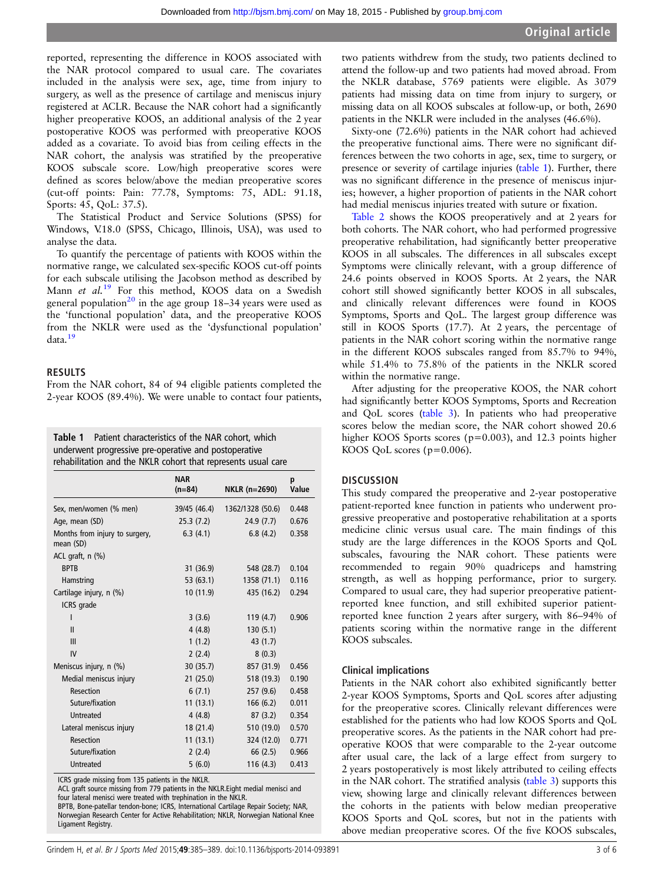reported, representing the difference in KOOS associated with the NAR protocol compared to usual care. The covariates included in the analysis were sex, age, time from injury to surgery, as well as the presence of cartilage and meniscus injury registered at ACLR. Because the NAR cohort had a significantly higher preoperative KOOS, an additional analysis of the 2 year postoperative KOOS was performed with preoperative KOOS added as a covariate. To avoid bias from ceiling effects in the NAR cohort, the analysis was stratified by the preoperative KOOS subscale score. Low/high preoperative scores were defined as scores below/above the median preoperative scores (cut-off points: Pain: 77.78, Symptoms: 75, ADL: 91.18, Sports: 45, QoL: 37.5).

The Statistical Product and Service Solutions (SPSS) for Windows, V.18.0 (SPSS, Chicago, Illinois, USA), was used to analyse the data.

To quantify the percentage of patients with KOOS within the normative range, we calculated sex-specific KOOS cut-off points for each subscale utilising the Jacobson method as described by Mann et al.<sup>[19](#page-5-0)</sup> For this method, KOOS data on a Swedish general population<sup>[20](#page-5-0)</sup> in the age group 18–34 years were used as the 'functional population' data, and the preoperative KOOS from the NKLR were used as the 'dysfunctional population' data.<sup>[19](#page-5-0)</sup>

#### RESULTS

From the NAR cohort, 84 of 94 eligible patients completed the 2-year KOOS (89.4%). We were unable to contact four patients,

| <b>Table 1</b> Patient characteristics of the NAR cohort, which |
|-----------------------------------------------------------------|
| underwent progressive pre-operative and postoperative           |
| rehabilitation and the NKLR cohort that represents usual care   |

|                                             | <b>NAR</b><br>$(n=84)$ | NKLR (n=2690)    | p<br>Value |
|---------------------------------------------|------------------------|------------------|------------|
| Sex, men/women (% men)                      | 39/45 (46.4)           | 1362/1328 (50.6) | 0.448      |
| Age, mean (SD)                              | 25.3(7.2)              | 24.9(7.7)        | 0.676      |
| Months from injury to surgery,<br>mean (SD) | 6.3(4.1)               | 6.8(4.2)         | 0.358      |
| ACL graft, $n$ $(\%)$                       |                        |                  |            |
| <b>BPTB</b>                                 | 31 (36.9)              | 548 (28.7)       | 0.104      |
| Hamstring                                   | 53 (63.1)              | 1358 (71.1)      | 0.116      |
| Cartilage injury, n (%)                     | 10 (11.9)              | 435 (16.2)       | 0.294      |
| ICRS grade                                  |                        |                  |            |
| I                                           | 3(3.6)                 | 119(4.7)         | 0.906      |
| $\mathbf{I}$                                | 4(4.8)                 | 130(5.1)         |            |
| Ш                                           | 1(1.2)                 | 43(1.7)          |            |
| IV                                          | 2(2.4)                 | 8(0.3)           |            |
| Meniscus injury, n (%)                      | 30 (35.7)              | 857 (31.9)       | 0.456      |
| Medial meniscus injury                      | 21(25.0)               | 518 (19.3)       | 0.190      |
| Resection                                   | 6(7.1)                 | 257(9.6)         | 0.458      |
| Suture/fixation                             | 11(13.1)               | 166(6.2)         | 0.011      |
| Untreated                                   | 4(4.8)                 | 87(3.2)          | 0.354      |
| Lateral meniscus injury                     | 18 (21.4)              | 510 (19.0)       | 0.570      |
| Resection                                   | 11(13.1)               | 324 (12.0)       | 0.771      |
| Suture/fixation                             | 2(2.4)                 | 66(2.5)          | 0.966      |
| <b>Untreated</b>                            | 5(6.0)                 | 116(4.3)         | 0.413      |

ICRS grade missing from 135 patients in the NKLR.

ACL graft source missing from 779 patients in the NKLR.Eight medial menisci and four lateral menisci were treated with trephination in the NKLR.

BPTB, Bone-patellar tendon-bone; ICRS, International Cartilage Repair Society; NAR, Norwegian Research Center for Active Rehabilitation; NKLR, Norwegian National Knee Ligament Registry.

two patients withdrew from the study, two patients declined to attend the follow-up and two patients had moved abroad. From the NKLR database, 5769 patients were eligible. As 3079 patients had missing data on time from injury to surgery, or missing data on all KOOS subscales at follow-up, or both, 2690 patients in the NKLR were included in the analyses (46.6%).

Sixty-one (72.6%) patients in the NAR cohort had achieved the preoperative functional aims. There were no significant differences between the two cohorts in age, sex, time to surgery, or presence or severity of cartilage injuries (table 1). Further, there was no significant difference in the presence of meniscus injuries; however, a higher proportion of patients in the NAR cohort had medial meniscus injuries treated with suture or fixation.

[Table 2](#page-3-0) shows the KOOS preoperatively and at 2 years for both cohorts. The NAR cohort, who had performed progressive preoperative rehabilitation, had significantly better preoperative KOOS in all subscales. The differences in all subscales except Symptoms were clinically relevant, with a group difference of 24.6 points observed in KOOS Sports. At 2 years, the NAR cohort still showed significantly better KOOS in all subscales, and clinically relevant differences were found in KOOS Symptoms, Sports and QoL. The largest group difference was still in KOOS Sports (17.7). At 2 years, the percentage of patients in the NAR cohort scoring within the normative range in the different KOOS subscales ranged from 85.7% to 94%, while 51.4% to 75.8% of the patients in the NKLR scored within the normative range.

After adjusting for the preoperative KOOS, the NAR cohort had significantly better KOOS Symptoms, Sports and Recreation and QoL scores [\(table 3](#page-3-0)). In patients who had preoperative scores below the median score, the NAR cohort showed 20.6 higher KOOS Sports scores (p=0.003), and 12.3 points higher KOOS QoL scores ( $p=0.006$ ).

#### **DISCUSSION**

This study compared the preoperative and 2-year postoperative patient-reported knee function in patients who underwent progressive preoperative and postoperative rehabilitation at a sports medicine clinic versus usual care. The main findings of this study are the large differences in the KOOS Sports and QoL subscales, favouring the NAR cohort. These patients were recommended to regain 90% quadriceps and hamstring strength, as well as hopping performance, prior to surgery. Compared to usual care, they had superior preoperative patientreported knee function, and still exhibited superior patientreported knee function 2 years after surgery, with 86–94% of patients scoring within the normative range in the different KOOS subscales.

#### Clinical implications

Patients in the NAR cohort also exhibited significantly better 2-year KOOS Symptoms, Sports and QoL scores after adjusting for the preoperative scores. Clinically relevant differences were established for the patients who had low KOOS Sports and QoL preoperative scores. As the patients in the NAR cohort had preoperative KOOS that were comparable to the 2-year outcome after usual care, the lack of a large effect from surgery to 2 years postoperatively is most likely attributed to ceiling effects in the NAR cohort. The stratified analysis [\(table 3\)](#page-3-0) supports this view, showing large and clinically relevant differences between the cohorts in the patients with below median preoperative KOOS Sports and QoL scores, but not in the patients with above median preoperative scores. Of the five KOOS subscales,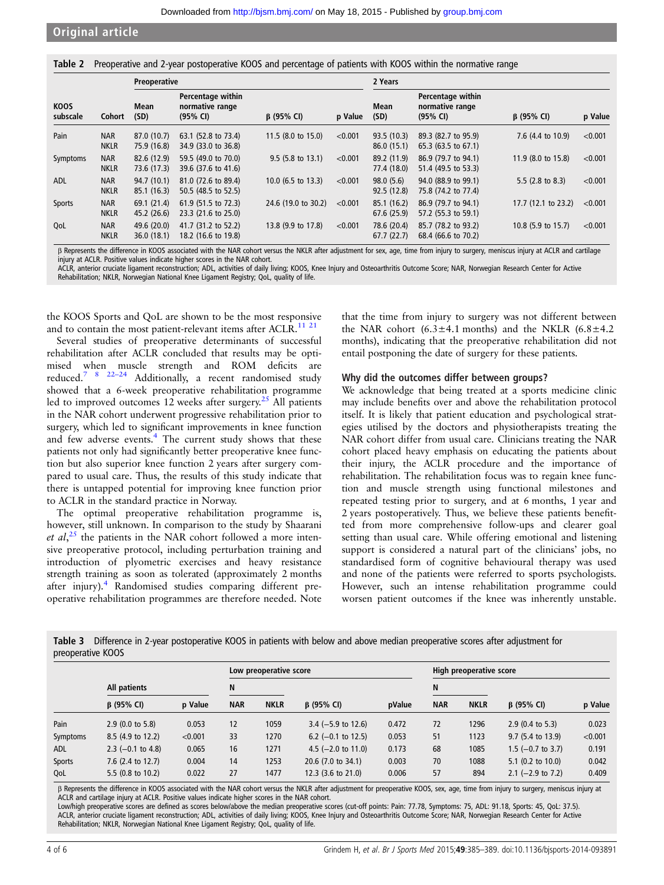<span id="page-3-0"></span>Table 2 Preoperative and 2-year postoperative KOOS and percentage of patients with KOOS within the normative range

|                         |                           | Preoperative               |                                                  |                              | 2 Years |                            |                                                  |                     |         |
|-------------------------|---------------------------|----------------------------|--------------------------------------------------|------------------------------|---------|----------------------------|--------------------------------------------------|---------------------|---------|
| <b>KOOS</b><br>subscale | Cohort                    | <b>Mean</b><br>(SD)        | Percentage within<br>normative range<br>(95% CI) | $\beta$ (95% CI)             | p Value | Mean<br>(SD)               | Percentage within<br>normative range<br>(95% CI) | $\beta$ (95% CI)    | p Value |
| Pain                    | <b>NAR</b><br><b>NKLR</b> | 87.0 (10.7)<br>75.9 (16.8) | 63.1 (52.8 to 73.4)<br>34.9 (33.0 to 36.8)       | $11.5(8.0 \text{ to } 15.0)$ | < 0.001 | 93.5(10.3)<br>86.0(15.1)   | 89.3 (82.7 to 95.9)<br>65.3 (63.5 to 67.1)       | 7.6 (4.4 to 10.9)   | < 0.001 |
| Symptoms                | <b>NAR</b><br><b>NKLR</b> | 82.6 (12.9)<br>73.6 (17.3) | 59.5 (49.0 to 70.0)<br>39.6 (37.6 to 41.6)       | $9.5$ (5.8 to 13.1)          | < 0.001 | 89.2 (11.9)<br>77.4 (18.0) | 86.9 (79.7 to 94.1)<br>51.4 (49.5 to 53.3)       | 11.9 (8.0 to 15.8)  | < 0.001 |
| <b>ADL</b>              | <b>NAR</b><br><b>NKLR</b> | 94.7(10.1)<br>85.1(16.3)   | 81.0 (72.6 to 89.4)<br>50.5 (48.5 to 52.5)       | 10.0 (6.5 to 13.3)           | < 0.001 | 98.0(5.6)<br>92.5 (12.8)   | 94.0 (88.9 to 99.1)<br>75.8 (74.2 to 77.4)       | $5.5$ (2.8 to 8.3)  | < 0.001 |
| <b>Sports</b>           | <b>NAR</b><br><b>NKLR</b> | 69.1 (21.4)<br>45.2 (26.6) | 61.9 (51.5 to 72.3)<br>23.3 (21.6 to 25.0)       | 24.6 (19.0 to 30.2)          | < 0.001 | 85.1 (16.2)<br>67.6(25.9)  | 86.9 (79.7 to 94.1)<br>57.2 (55.3 to 59.1)       | 17.7 (12.1 to 23.2) | < 0.001 |
| QoL                     | <b>NAR</b><br><b>NKLR</b> | 49.6 (20.0)<br>36.0(18.1)  | 41.7 (31.2 to 52.2)<br>18.2 (16.6 to 19.8)       | 13.8 (9.9 to 17.8)           | < 0.001 | 78.6 (20.4)<br>67.7(22.7)  | 85.7 (78.2 to 93.2)<br>68.4 (66.6 to 70.2)       | 10.8 (5.9 to 15.7)  | < 0.001 |

β Represents the difference in KOOS associated with the NAR cohort versus the NKLR after adjustment for sex, age, time from injury to surgery, meniscus injury at ACLR and cartilage injury at ACLR. Positive values indicate higher scores in the NAR cohort.

ACLR, anterior cruciate ligament reconstruction; ADL, activities of daily living; KOOS, Knee Injury and Osteoarthritis Outcome Score; NAR, Norwegian Research Center for Active Rehabilitation; NKLR, Norwegian National Knee Ligament Registry; QoL, quality of life.

the KOOS Sports and QoL are shown to be the most responsive and to contain the most patient-relevant items after ACLR.<sup>[11](#page-4-0) [21](#page-5-0)</sup>

Several studies of preoperative determinants of successful rehabilitation after ACLR concluded that results may be optimised when muscle strength and ROM deficits are reduced.<sup>7</sup> <sup>8</sup> <sup>22–24</sup> Additionally, a recent randomised study showed that a 6-week preoperative rehabilitation programme led to improved outcomes 12 weeks after surgery. $25$  All patients in the NAR cohort underwent progressive rehabilitation prior to surgery, which led to significant improvements in knee function and few adverse events.<sup>[4](#page-4-0)</sup> The current study shows that these patients not only had significantly better preoperative knee function but also superior knee function 2 years after surgery compared to usual care. Thus, the results of this study indicate that there is untapped potential for improving knee function prior to ACLR in the standard practice in Norway.

The optimal preoperative rehabilitation programme is, however, still unknown. In comparison to the study by Shaarani et  $al$ ,<sup>[25](#page-5-0)</sup>, the patients in the NAR cohort followed a more intensive preoperative protocol, including perturbation training and introduction of plyometric exercises and heavy resistance strength training as soon as tolerated (approximately 2 months after injury).<sup>[4](#page-4-0)</sup> Randomised studies comparing different preoperative rehabilitation programmes are therefore needed. Note

that the time from injury to surgery was not different between the NAR cohort  $(6.3 \pm 4.1 \text{ months})$  and the NKLR  $(6.8 \pm 4.2 \text{ m})$ months), indicating that the preoperative rehabilitation did not entail postponing the date of surgery for these patients.

#### Why did the outcomes differ between groups?

We acknowledge that being treated at a sports medicine clinic may include benefits over and above the rehabilitation protocol itself. It is likely that patient education and psychological strategies utilised by the doctors and physiotherapists treating the NAR cohort differ from usual care. Clinicians treating the NAR cohort placed heavy emphasis on educating the patients about their injury, the ACLR procedure and the importance of rehabilitation. The rehabilitation focus was to regain knee function and muscle strength using functional milestones and repeated testing prior to surgery, and at 6 months, 1 year and 2 years postoperatively. Thus, we believe these patients benefitted from more comprehensive follow-ups and clearer goal setting than usual care. While offering emotional and listening support is considered a natural part of the clinicians' jobs, no standardised form of cognitive behavioural therapy was used and none of the patients were referred to sports psychologists. However, such an intense rehabilitation programme could worsen patient outcomes if the knee was inherently unstable.

Table 3 Difference in 2-year postoperative KOOS in patients with below and above median preoperative scores after adjustment for preoperative KOOS

|               |                              |         |            | Low preoperative score |                               | High preoperative score |            |             |                      |         |
|---------------|------------------------------|---------|------------|------------------------|-------------------------------|-------------------------|------------|-------------|----------------------|---------|
|               | All patients                 |         | N          |                        |                               |                         | N          |             |                      |         |
|               | $\beta$ (95% CI)             | p Value | <b>NAR</b> | <b>NKLR</b>            | $\beta$ (95% CI)              | pValue                  | <b>NAR</b> | <b>NKLR</b> | $\beta$ (95% CI)     | p Value |
| Pain          | $2.9$ (0.0 to 5.8)           | 0.053   | 12         | 1059                   | $3.4$ (-5.9 to 12.6)          | 0.472                   | 72         | 1296        | $2.9$ (0.4 to 5.3)   | 0.023   |
| Symptoms      | 8.5 (4.9 to 12.2)            | < 0.001 | 33         | 1270                   | 6.2 $(-0.1 \text{ to } 12.5)$ | 0.053                   | 51         | 1123        | $9.7$ (5.4 to 13.9)  | < 0.001 |
| ADL           | $2.3$ (-0.1 to 4.8)          | 0.065   | 16         | 1271                   | 4.5 $(-2.0 \text{ to } 11.0)$ | 0.173                   | 68         | 1085        | $1.5$ (-0.7 to 3.7)  | 0.191   |
| <b>Sports</b> | 7.6 (2.4 to 12.7)            | 0.004   | 14         | 1253                   | 20.6 (7.0 to 34.1)            | 0.003                   | 70         | 1088        | 5.1 (0.2 to $10.0$ ) | 0.042   |
| QoL           | 5.5 $(0.8 \text{ to } 10.2)$ | 0.022   | 27         | 1477                   | 12.3 (3.6 to 21.0)            | 0.006                   | 57         | 894         | $2.1$ (-2.9 to 7.2)  | 0.409   |

β Represents the difference in KOOS associated with the NAR cohort versus the NKLR after adjustment for preoperative KOOS, sex, age, time from injury to surgery, meniscus injury at ACLR and cartilage injury at ACLR. Positive values indicate higher scores in the NAR cohort.

Low/high preoperative scores are defined as scores below/above the median preoperative scores (cut-off points: Pain: 77.78, Symptoms: 75, ADL: 91.18, Sports: 45, QoL: 37.5). ACLR, anterior cruciate ligament reconstruction; ADL, activities of daily living; KOOS, Knee Injury and Osteoarthritis Outcome Score; NAR, Norwegian Research Center for Active Rehabilitation; NKLR, Norwegian National Knee Ligament Registry; QoL, quality of life.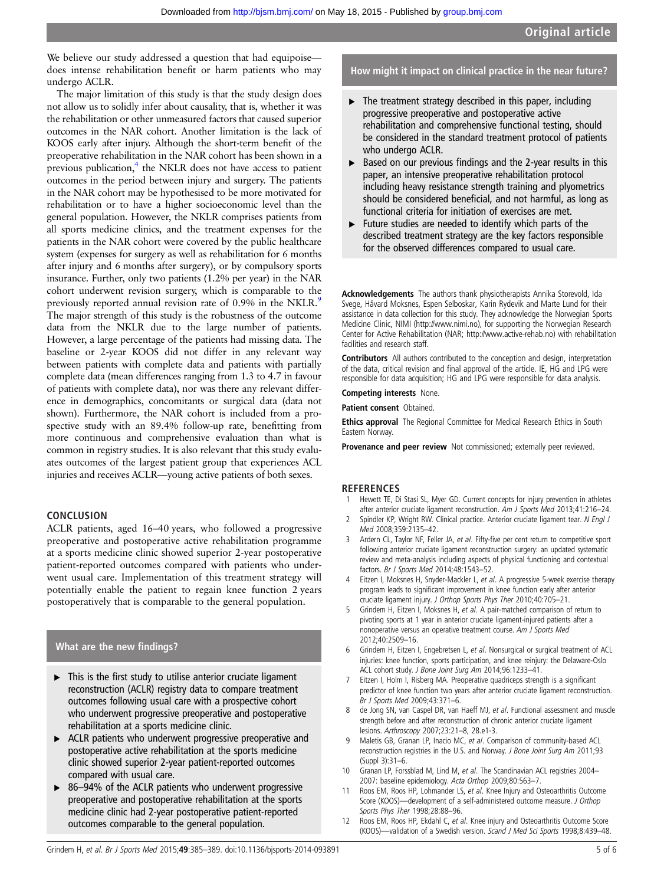<span id="page-4-0"></span>We believe our study addressed a question that had equipoisedoes intense rehabilitation benefit or harm patients who may undergo ACLR.

The major limitation of this study is that the study design does not allow us to solidly infer about causality, that is, whether it was the rehabilitation or other unmeasured factors that caused superior outcomes in the NAR cohort. Another limitation is the lack of KOOS early after injury. Although the short-term benefit of the preoperative rehabilitation in the NAR cohort has been shown in a previous publication, $4$  the NKLR does not have access to patient outcomes in the period between injury and surgery. The patients in the NAR cohort may be hypothesised to be more motivated for rehabilitation or to have a higher socioeconomic level than the general population. However, the NKLR comprises patients from all sports medicine clinics, and the treatment expenses for the patients in the NAR cohort were covered by the public healthcare system (expenses for surgery as well as rehabilitation for 6 months after injury and 6 months after surgery), or by compulsory sports insurance. Further, only two patients (1.2% per year) in the NAR cohort underwent revision surgery, which is comparable to the previously reported annual revision rate of 0.9% in the NKLR.<sup>9</sup> The major strength of this study is the robustness of the outcome data from the NKLR due to the large number of patients. However, a large percentage of the patients had missing data. The baseline or 2-year KOOS did not differ in any relevant way between patients with complete data and patients with partially complete data (mean differences ranging from 1.3 to 4.7 in favour of patients with complete data), nor was there any relevant difference in demographics, concomitants or surgical data (data not shown). Furthermore, the NAR cohort is included from a prospective study with an 89.4% follow-up rate, benefitting from more continuous and comprehensive evaluation than what is common in registry studies. It is also relevant that this study evaluates outcomes of the largest patient group that experiences ACL injuries and receives ACLR—young active patients of both sexes.

## **CONCLUSION**

ACLR patients, aged 16–40 years, who followed a progressive preoperative and postoperative active rehabilitation programme at a sports medicine clinic showed superior 2-year postoperative patient-reported outcomes compared with patients who underwent usual care. Implementation of this treatment strategy will potentially enable the patient to regain knee function 2 years postoperatively that is comparable to the general population.

## What are the new findings?

- $\blacktriangleright$  This is the first study to utilise anterior cruciate ligament reconstruction (ACLR) registry data to compare treatment outcomes following usual care with a prospective cohort who underwent progressive preoperative and postoperative rehabilitation at a sports medicine clinic.
- ▶ ACLR patients who underwent progressive preoperative and postoperative active rehabilitation at the sports medicine clinic showed superior 2-year patient-reported outcomes compared with usual care.
- ▶ 86–94% of the ACLR patients who underwent progressive preoperative and postoperative rehabilitation at the sports medicine clinic had 2-year postoperative patient-reported outcomes comparable to the general population.

## How might it impact on clinical practice in the near future?

- $\blacktriangleright$  The treatment strategy described in this paper, including progressive preoperative and postoperative active rehabilitation and comprehensive functional testing, should be considered in the standard treatment protocol of patients who undergo ACLR.
- ▶ Based on our previous findings and the 2-year results in this paper, an intensive preoperative rehabilitation protocol including heavy resistance strength training and plyometrics should be considered beneficial, and not harmful, as long as functional criteria for initiation of exercises are met.
- $\blacktriangleright$  Future studies are needed to identify which parts of the described treatment strategy are the key factors responsible for the observed differences compared to usual care.

Acknowledgements The authors thank physiotherapists Annika Storevold, Ida Svege, Håvard Moksnes, Espen Selboskar, Karin Rydevik and Marte Lund for their assistance in data collection for this study. They acknowledge the Norwegian Sports Medicine Clinic, NIMI [\(http://www.nimi.no\)](http://www.nimi.no), for supporting the Norwegian Research Center for Active Rehabilitation (NAR;<http://www.active-rehab.no>) with rehabilitation facilities and research staff.

Contributors All authors contributed to the conception and design, interpretation of the data, critical revision and final approval of the article. IE, HG and LPG were responsible for data acquisition; HG and LPG were responsible for data analysis.

Competing interests None.

Patient consent Obtained.

Ethics approval The Regional Committee for Medical Research Ethics in South Eastern Norway.

Provenance and peer review Not commissioned; externally peer reviewed.

#### **REFERENCES**

- 1 Hewett TE, Di Stasi SL, Myer GD. Current concepts for injury prevention in athletes after anterior cruciate ligament reconstruction. Am J Sports Med 2013;41:216–24.
- 2 Spindler KP, Wright RW. Clinical practice. Anterior cruciate ligament tear. N Engl J Med 2008;359:2135–42.
- 3 Ardern CL, Taylor NF, Feller JA, et al. Fifty-five per cent return to competitive sport following anterior cruciate ligament reconstruction surgery: an updated systematic review and meta-analysis including aspects of physical functioning and contextual factors. Br J Sports Med 2014;48:1543–52.
- 4 Eitzen I, Moksnes H, Snyder-Mackler L, et al. A progressive 5-week exercise therapy program leads to significant improvement in knee function early after anterior cruciate ligament injury. J Orthop Sports Phys Ther 2010;40:705–21.
- Grindem H, Eitzen I, Moksnes H, et al. A pair-matched comparison of return to pivoting sports at 1 year in anterior cruciate ligament-injured patients after a nonoperative versus an operative treatment course. Am J Sports Med 2012;40:2509–16.
- 6 Grindem H, Eitzen I, Engebretsen L, et al. Nonsurgical or surgical treatment of ACL injuries: knee function, sports participation, and knee reinjury: the Delaware-Oslo ACL cohort study. J Bone Joint Surg Am 2014;96:1233–41.
- 7 Eitzen I, Holm I, Risberg MA. Preoperative quadriceps strength is a significant predictor of knee function two years after anterior cruciate ligament reconstruction. Br J Sports Med 2009;43:371–6.
- de Jong SN, van Caspel DR, van Haeff MJ, et al. Functional assessment and muscle strength before and after reconstruction of chronic anterior cruciate ligament lesions. Arthroscopy 2007;23:21–8, 28.e1-3.
- Maletis GB, Granan LP, Inacio MC, et al. Comparison of community-based ACL reconstruction registries in the U.S. and Norway. J Bone Joint Surg Am 2011;93 (Suppl 3):31–6.
- 10 Granan LP, Forssblad M, Lind M, et al. The Scandinavian ACL registries 2004– 2007: baseline epidemiology. Acta Orthop 2009;80:563–7.
- 11 Roos EM, Roos HP, Lohmander LS, et al. Knee Injury and Osteoarthritis Outcome Score (KOOS)—development of a self-administered outcome measure. J Orthop Sports Phys Ther 1998;28:88–96.
- 12 Roos EM, Roos HP, Ekdahl C, et al. Knee injury and Osteoarthritis Outcome Score (KOOS)—validation of a Swedish version. Scand J Med Sci Sports 1998;8:439–48.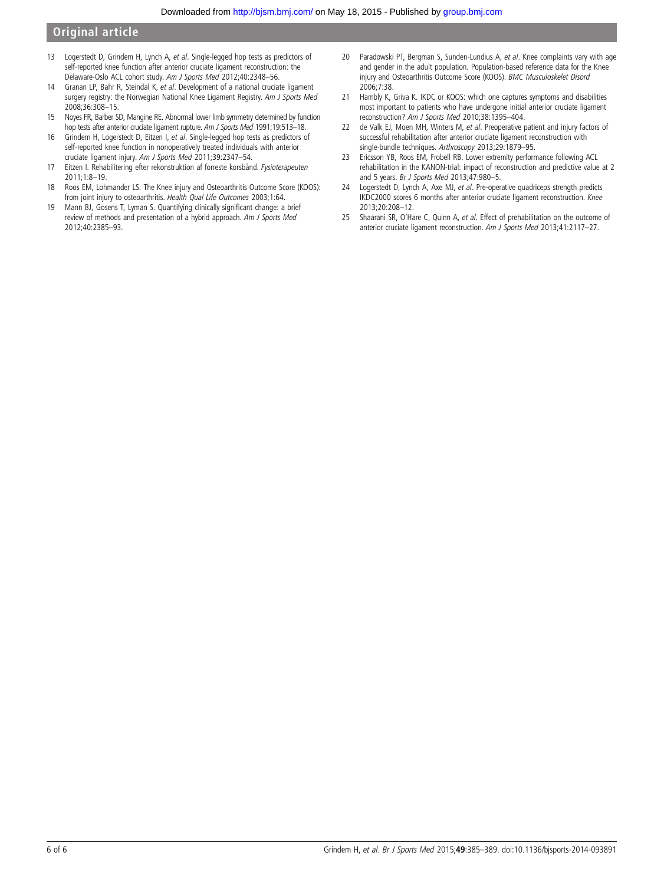## <span id="page-5-0"></span>Original article

- 13 Logerstedt D, Grindem H, Lynch A, et al. Single-legged hop tests as predictors of self-reported knee function after anterior cruciate ligament reconstruction: the Delaware-Oslo ACL cohort study. Am J Sports Med 2012;40:2348–56.
- 14 Granan LP, Bahr R, Steindal K, et al. Development of a national cruciate ligament surgery registry: the Norwegian National Knee Ligament Registry. Am J Sports Med 2008;36:308–15.
- 15 Noyes FR, Barber SD, Mangine RE. Abnormal lower limb symmetry determined by function hop tests after anterior cruciate ligament rupture. Am J Sports Med 1991;19:513-18.
- 16 Grindem H, Logerstedt D, Eitzen I, et al. Single-legged hop tests as predictors of self-reported knee function in nonoperatively treated individuals with anterior cruciate ligament injury. Am J Sports Med 2011;39:2347–54.
- 17 Eitzen I. Rehabilitering efter rekonstruktion af forreste korsbånd. Fysioterapeuten 2011;1:8–19.
- 18 Roos EM, Lohmander LS. The Knee injury and Osteoarthritis Outcome Score (KOOS): from joint injury to osteoarthritis. Health Qual Life Outcomes 2003;1:64.
- 19 Mann BJ, Gosens T, Lyman S. Quantifying clinically significant change: a brief review of methods and presentation of a hybrid approach. Am J Sports Med 2012;40:2385–93.
- 20 Paradowski PT, Bergman S, Sunden-Lundius A, et al. Knee complaints vary with age and gender in the adult population. Population-based reference data for the Knee injury and Osteoarthritis Outcome Score (KOOS). BMC Musculoskelet Disord 2006;7:38.
- 21 Hambly K, Griva K. IKDC or KOOS: which one captures symptoms and disabilities most important to patients who have undergone initial anterior cruciate ligament reconstruction? Am J Sports Med 2010;38:1395–404.
- 22 de Valk EJ, Moen MH, Winters M, et al. Preoperative patient and injury factors of successful rehabilitation after anterior cruciate ligament reconstruction with single-bundle techniques. Arthroscopy 2013;29:1879–95.
- 23 Ericsson YB, Roos EM, Frobell RB. Lower extremity performance following ACL rehabilitation in the KANON-trial: impact of reconstruction and predictive value at 2 and 5 years. Br J Sports Med 2013;47:980–5.
- 24 Logerstedt D, Lynch A, Axe MJ, et al. Pre-operative quadriceps strength predicts IKDC2000 scores 6 months after anterior cruciate ligament reconstruction. Knee 2013;20:208–12.
- 25 Shaarani SR, O'Hare C, Quinn A, et al. Effect of prehabilitation on the outcome of anterior cruciate ligament reconstruction. Am J Sports Med 2013;41:2117–27.